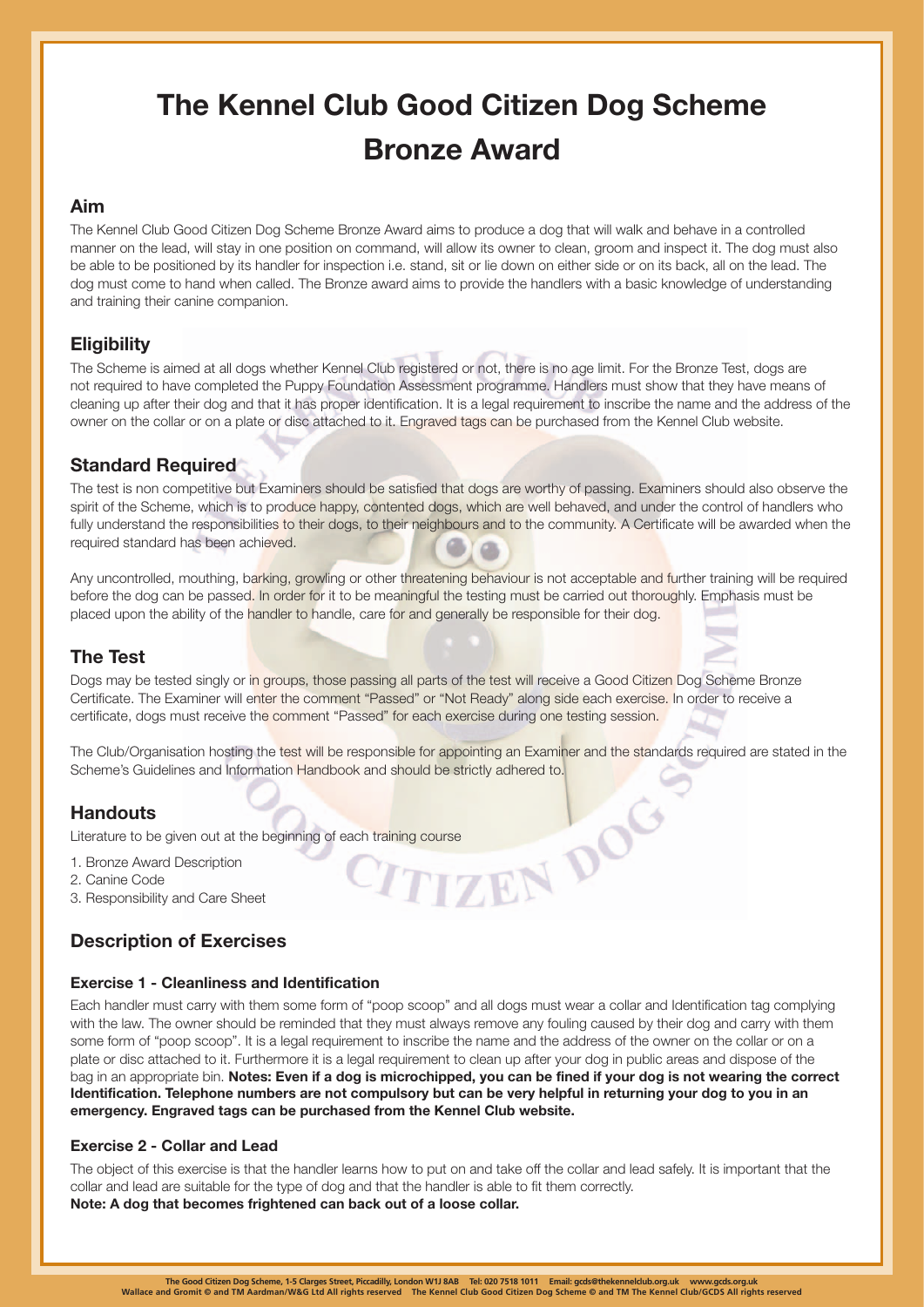# **The Kennel Club Good Citizen Dog Scheme Bronze Award**

### **Aim**

The Kennel Club Good Citizen Dog Scheme Bronze Award aims to produce a dog that will walk and behave in a controlled manner on the lead, will stay in one position on command, will allow its owner to clean, groom and inspect it. The dog must also be able to be positioned by its handler for inspection i.e. stand, sit or lie down on either side or on its back, all on the lead. The dog must come to hand when called. The Bronze award aims to provide the handlers with a basic knowledge of understanding and training their canine companion.

## **Eligibility**

The Scheme is aimed at all dogs whether Kennel Club registered or not, there is no age limit. For the Bronze Test, dogs are not required to have completed the Puppy Foundation Assessment programme. Handlers must show that they have means of cleaning up after their dog and that it has proper identification. It is a legal requirement to inscribe the name and the address of the owner on the collar or on a plate or disc attached to it. Engraved tags can be purchased from the Kennel Club website.

## **Standard Required**

The test is non competitive but Examiners should be satisfied that dogs are worthy of passing. Examiners should also observe the spirit of the Scheme, which is to produce happy, contented dogs, which are well behaved, and under the control of handlers who fully understand the responsibilities to their dogs, to their neighbours and to the community. A Certificate will be awarded when the required standard has been achieved.

Any uncontrolled, mouthing, barking, growling or other threatening behaviour is not acceptable and further training will be required before the dog can be passed. In order for it to be meaningful the testing must be carried out thoroughly. Emphasis must be placed upon the ability of the handler to handle, care for and generally be responsible for their dog.

## **The Test**

Dogs may be tested singly or in groups, those passing all parts of the test will receive a Good Citizen Dog Scheme Bronze Certificate. The Examiner will enter the comment "Passed" or "Not Ready" along side each exercise. In order to receive a certificate, dogs must receive the comment "Passed" for each exercise during one testing session.

The Club/Organisation hosting the test will be responsible for appointing an Examiner and the standards required are stated in the Scheme's Guidelines and Information Handbook and should be strictly adhered to.

## **Handouts**

Literature to be given out at the beginning of each training course<br>1. Bronze Award Description<br>2. Canine Code<br>3. Responsibility and Care Sheet

- 1. Bronze Award Description
- 2. Canine Code
- 3. Responsibility and Care Sheet

## **Description of Exercises**

#### **Exercise 1 - Cleanliness and Identification**

Each handler must carry with them some form of "poop scoop" and all dogs must wear a collar and Identification tag complying with the law. The owner should be reminded that they must always remove any fouling caused by their dog and carry with them some form of "poop scoop". It is a legal requirement to inscribe the name and the address of the owner on the collar or on a plate or disc attached to it. Furthermore it is a legal requirement to clean up after your dog in public areas and dispose of the bag in an appropriate bin. **Notes: Even if a dog is microchipped, you can be fined if your dog is not wearing the correct Identification. Telephone numbers are not compulsory but can be very helpful in returning your dog to you in an emergency. Engraved tags can be purchased from the Kennel Club website.** 

#### **Exercise 2 - Collar and Lead**

The object of this exercise is that the handler learns how to put on and take off the collar and lead safely. It is important that the collar and lead are suitable for the type of dog and that the handler is able to fit them correctly. **Note: A dog that becomes frightened can back out of a loose collar.**